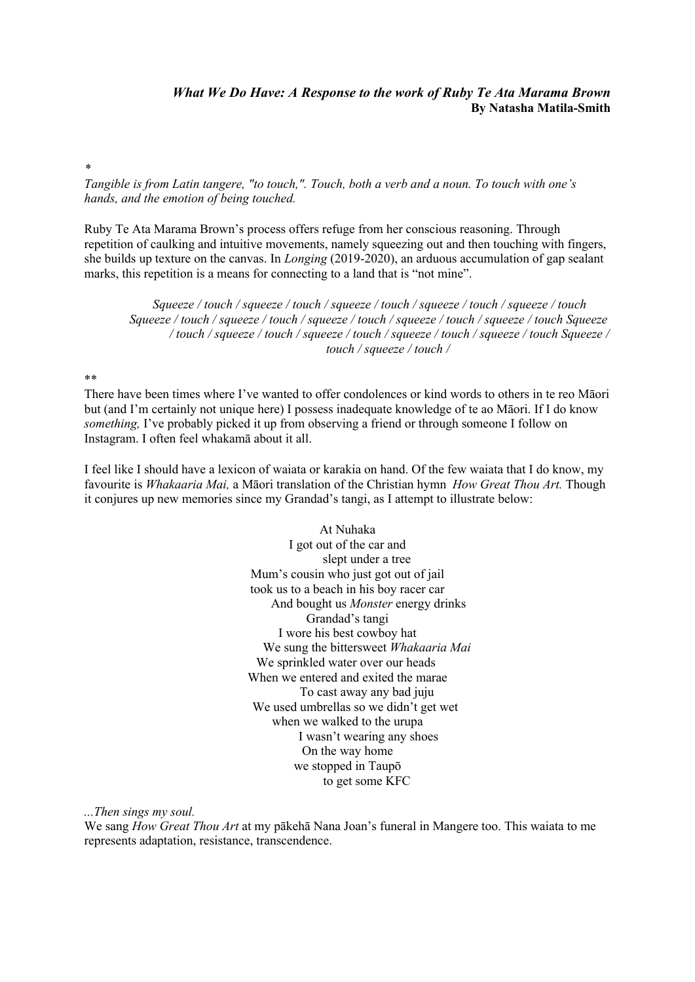## *What We Do Have: A Response to the work of Ruby Te Ata Marama Brown* **By Natasha Matila-Smith**

*\**

*Tangible is from Latin tangere, "to touch,". Touch, both a verb and a noun. To touch with one's hands, and the emotion of being touched.*

Ruby Te Ata Marama Brown's process offers refuge from her conscious reasoning. Through repetition of caulking and intuitive movements, namely squeezing out and then touching with fingers, she builds up texture on the canvas. In *Longing* (2019-2020), an arduous accumulation of gap sealant marks, this repetition is a means for connecting to a land that is "not mine".

*Squeeze / touch / squeeze / touch / squeeze / touch / squeeze / touch / squeeze / touch Squeeze / touch / squeeze / touch / squeeze / touch / squeeze / touch / squeeze / touch Squeeze / touch / squeeze / touch / squeeze / touch / squeeze / touch / squeeze / touch Squeeze / touch / squeeze / touch /*

## \*\*

There have been times where I've wanted to offer condolences or kind words to others in te reo Māori but (and I'm certainly not unique here) I possess inadequate knowledge of te ao Māori. If I do know *something,* I've probably picked it up from observing a friend or through someone I follow on Instagram. I often feel whakamā about it all.

I feel like I should have a lexicon of waiata or karakia on hand. Of the few waiata that I do know, my favourite is *Whakaaria Mai,* a Māori translation of the Christian hymn *How Great Thou Art.* Though it conjures up new memories since my Grandad's tangi, as I attempt to illustrate below:

> At Nuhaka I got out of the car and slept under a tree Mum's cousin who just got out of jail took us to a beach in his boy racer car And bought us *Monster* energy drinks Grandad's tangi I wore his best cowboy hat We sung the bittersweet *Whakaaria Mai* We sprinkled water over our heads When we entered and exited the marae To cast away any bad juju We used umbrellas so we didn't get wet when we walked to the urupa I wasn't wearing any shoes On the way home we stopped in Taupō to get some KFC

*...Then sings my soul.*

We sang *How Great Thou Art* at my pākehā Nana Joan's funeral in Mangere too. This waiata to me represents adaptation, resistance, transcendence.